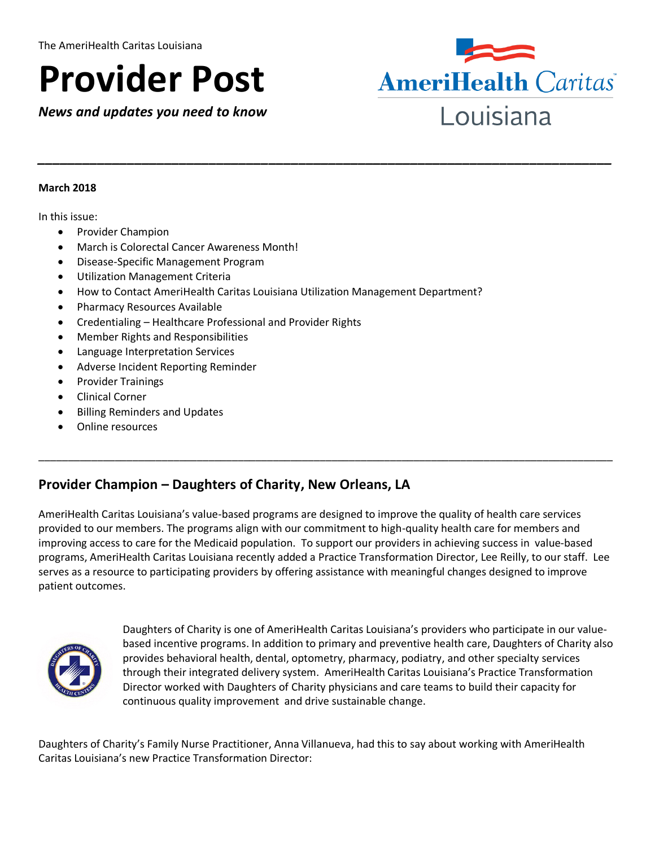# **Provider Post**

*News and updates you need to know*



#### **March 2018**

In this issue:

- Provider Champion
- March is Colorectal Cancer Awareness Month!
- Disease-Specific Management Program
- Utilization Management Criteria
- How to Contact AmeriHealth Caritas Louisiana Utilization Management Department?
- Pharmacy Resources Available
- Credentialing Healthcare Professional and Provider Rights
- Member Rights and Responsibilities
- Language Interpretation Services
- Adverse Incident Reporting Reminder
- Provider Trainings
- Clinical Corner
- Billing Reminders and Updates
- Online resources

# **Provider Champion – Daughters of Charity, New Orleans, LA**

AmeriHealth Caritas Louisiana's value-based programs are designed to improve the quality of health care services provided to our members. The programs align with our commitment to high-quality health care for members and improving access to care for the Medicaid population. To support our providers in achieving success in value-based programs, AmeriHealth Caritas Louisiana recently added a Practice Transformation Director, Lee Reilly, to our staff. Lee serves as a resource to participating providers by offering assistance with meaningful changes designed to improve patient outcomes.

\_\_\_\_\_\_\_\_\_\_\_\_\_\_\_\_\_\_\_\_\_\_\_\_\_\_\_\_\_\_\_\_\_\_\_\_\_\_\_\_\_\_\_\_\_\_\_\_\_\_\_\_\_\_\_\_\_\_\_\_\_\_\_\_\_\_\_\_\_\_\_\_\_\_\_\_\_\_\_\_\_\_\_\_\_\_\_\_\_\_\_\_\_\_\_\_\_\_

*\_\_\_\_\_\_\_\_\_\_\_\_\_\_\_\_\_\_\_\_\_\_\_\_\_\_\_\_\_\_\_\_\_\_\_\_\_\_\_\_\_\_\_\_\_\_\_\_\_\_\_\_\_\_\_\_\_\_\_\_\_\_\_\_\_\_\_\_\_\_\_\_\_\_\_\_\_*



Daughters of Charity is one of AmeriHealth Caritas Louisiana's providers who participate in our valuebased incentive programs. In addition to primary and preventive health care, Daughters of Charity also provides behavioral health, dental, optometry, pharmacy, podiatry, and other specialty services through their integrated delivery system. AmeriHealth Caritas Louisiana's Practice Transformation Director worked with Daughters of Charity physicians and care teams to build their capacity for continuous quality improvement and drive sustainable change.

Daughters of Charity's Family Nurse Practitioner, Anna Villanueva, had this to say about working with AmeriHealth Caritas Louisiana's new Practice Transformation Director: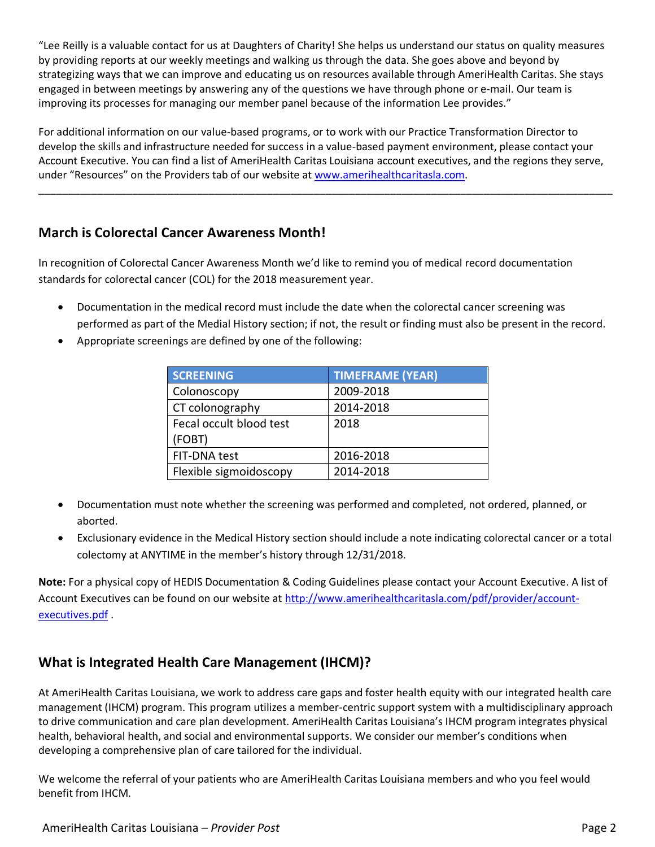"Lee Reilly is a valuable contact for us at Daughters of Charity! She helps us understand our status on quality measures by providing reports at our weekly meetings and walking us through the data. She goes above and beyond by strategizing ways that we can improve and educating us on resources available through AmeriHealth Caritas. She stays engaged in between meetings by answering any of the questions we have through phone or e-mail. Our team is improving its processes for managing our member panel because of the information Lee provides."

For additional information on our value-based programs, or to work with our Practice Transformation Director to develop the skills and infrastructure needed for success in a value-based payment environment, please contact your Account Executive. You can find a list of AmeriHealth Caritas Louisiana account executives, and the regions they serve, under "Resources" on the Providers tab of our website at [www.amerihealthcaritasla.com.](http://www.amerihealthcaritasla.com/)

\_\_\_\_\_\_\_\_\_\_\_\_\_\_\_\_\_\_\_\_\_\_\_\_\_\_\_\_\_\_\_\_\_\_\_\_\_\_\_\_\_\_\_\_\_\_\_\_\_\_\_\_\_\_\_\_\_\_\_\_\_\_\_\_\_\_\_\_\_\_\_\_\_\_\_\_\_\_\_\_\_\_\_\_\_\_\_\_\_\_\_\_\_\_\_\_\_\_

# **March is Colorectal Cancer Awareness Month!**

In recognition of Colorectal Cancer Awareness Month we'd like to remind you of medical record documentation standards for colorectal cancer (COL) for the 2018 measurement year.

- Documentation in the medical record must include the date when the colorectal cancer screening was performed as part of the Medial History section; if not, the result or finding must also be present in the record.
- Appropriate screenings are defined by one of the following:

| <b>SCREENING</b>        | <b>TIMEFRAME (YEAR)</b> |
|-------------------------|-------------------------|
| Colonoscopy             | 2009-2018               |
| CT colonography         | 2014-2018               |
| Fecal occult blood test | 2018                    |
| (FOBT)                  |                         |
| FIT-DNA test            | 2016-2018               |
| Flexible sigmoidoscopy  | 2014-2018               |

- Documentation must note whether the screening was performed and completed, not ordered, planned, or aborted.
- Exclusionary evidence in the Medical History section should include a note indicating colorectal cancer or a total colectomy at ANYTIME in the member's history through 12/31/2018.

**Note:** For a physical copy of HEDIS Documentation & Coding Guidelines please contact your Account Executive. A list of Account Executives can be found on our website at [http://www.amerihealthcaritasla.com/pdf/provider/account](http://www.amerihealthcaritasla.com/pdf/provider/account-executives.pdf)[executives.pdf](http://www.amerihealthcaritasla.com/pdf/provider/account-executives.pdf) .

## **What is Integrated Health Care Management (IHCM)?**

At AmeriHealth Caritas Louisiana, we work to address care gaps and foster health equity with our integrated health care management (IHCM) program. This program utilizes a member-centric support system with a multidisciplinary approach to drive communication and care plan development. AmeriHealth Caritas Louisiana's IHCM program integrates physical health, behavioral health, and social and environmental supports. We consider our member's conditions when developing a comprehensive plan of care tailored for the individual.

We welcome the referral of your patients who are AmeriHealth Caritas Louisiana members and who you feel would benefit from IHCM.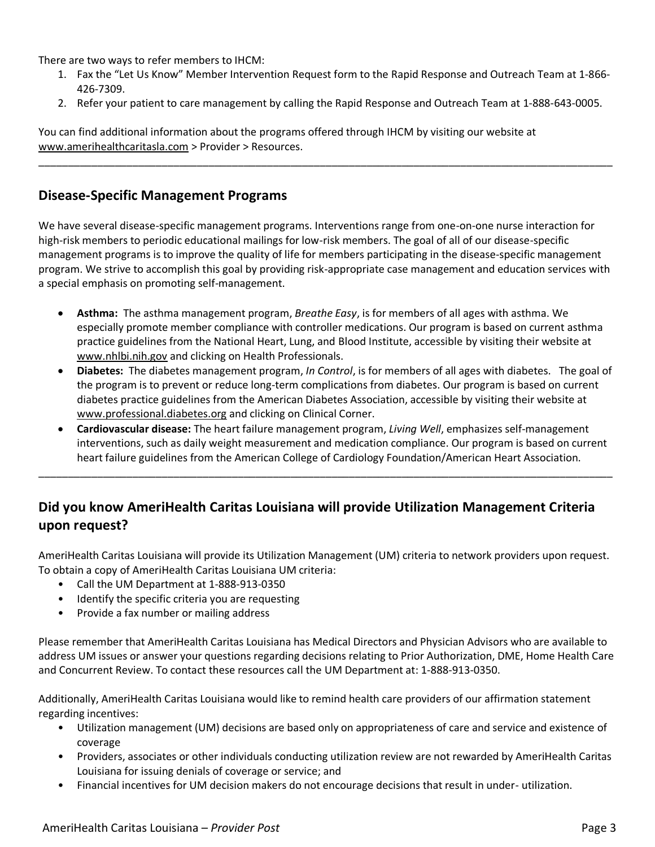There are two ways to refer members to IHCM:

- 1. Fax the "Let Us Know" Member Intervention Request form to the Rapid Response and Outreach Team at 1-866- 426-7309.
- 2. Refer your patient to care management by calling the Rapid Response and Outreach Team at 1-888-643-0005.

\_\_\_\_\_\_\_\_\_\_\_\_\_\_\_\_\_\_\_\_\_\_\_\_\_\_\_\_\_\_\_\_\_\_\_\_\_\_\_\_\_\_\_\_\_\_\_\_\_\_\_\_\_\_\_\_\_\_\_\_\_\_\_\_\_\_\_\_\_\_\_\_\_\_\_\_\_\_\_\_\_\_\_\_\_\_\_\_\_\_\_\_\_\_\_\_\_\_

You can find additional information about the programs offered through IHCM by visiting our website at [www.amerihealthcaritasla.com](http://www.amerihealthcaritasla.com/) > Provider > Resources.

## **Disease-Specific Management Programs**

We have several disease-specific management programs. Interventions range from one-on-one nurse interaction for high-risk members to periodic educational mailings for low-risk members. The goal of all of our disease-specific management programs is to improve the quality of life for members participating in the disease-specific management program. We strive to accomplish this goal by providing risk-appropriate case management and education services with a special emphasis on promoting self-management.

- **Asthma:** The asthma management program, *Breathe Easy*, is for members of all ages with asthma. We especially promote member compliance with controller medications. Our program is based on current asthma practice guidelines from the National Heart, Lung, and Blood Institute, accessible by visiting their website at [www.nhlbi.nih.gov](http://www.nhlbi.nih.gov/) and clicking on Health Professionals.
- **Diabetes:** The diabetes management program, *In Control*, is for members of all ages with diabetes. The goal of the program is to prevent or reduce long-term complications from diabetes. Our program is based on current diabetes practice guidelines from the American Diabetes Association, accessible by visiting their website at [www.professional.diabetes.org](http://www.professional.diabetes.org/) and clicking on Clinical Corner.
- **Cardiovascular disease:** The heart failure management program, *Living Well*, emphasizes self-management interventions, such as daily weight measurement and medication compliance. Our program is based on current heart failure guidelines from the American College of Cardiology Foundation/American Heart Association.

\_\_\_\_\_\_\_\_\_\_\_\_\_\_\_\_\_\_\_\_\_\_\_\_\_\_\_\_\_\_\_\_\_\_\_\_\_\_\_\_\_\_\_\_\_\_\_\_\_\_\_\_\_\_\_\_\_\_\_\_\_\_\_\_\_\_\_\_\_\_\_\_\_\_\_\_\_\_\_\_\_\_\_\_\_\_\_\_\_\_\_\_\_\_\_\_\_\_

# **Did you know AmeriHealth Caritas Louisiana will provide Utilization Management Criteria upon request?**

AmeriHealth Caritas Louisiana will provide its Utilization Management (UM) criteria to network providers upon request. To obtain a copy of AmeriHealth Caritas Louisiana UM criteria:

- Call the UM Department at 1-888-913-0350
- Identify the specific criteria you are requesting
- Provide a fax number or mailing address

Please remember that AmeriHealth Caritas Louisiana has Medical Directors and Physician Advisors who are available to address UM issues or answer your questions regarding decisions relating to Prior Authorization, DME, Home Health Care and Concurrent Review. To contact these resources call the UM Department at: 1-888-913-0350.

Additionally, AmeriHealth Caritas Louisiana would like to remind health care providers of our affirmation statement regarding incentives:

- Utilization management (UM) decisions are based only on appropriateness of care and service and existence of coverage
- Providers, associates or other individuals conducting utilization review are not rewarded by AmeriHealth Caritas Louisiana for issuing denials of coverage or service; and
- Financial incentives for UM decision makers do not encourage decisions that result in under- utilization.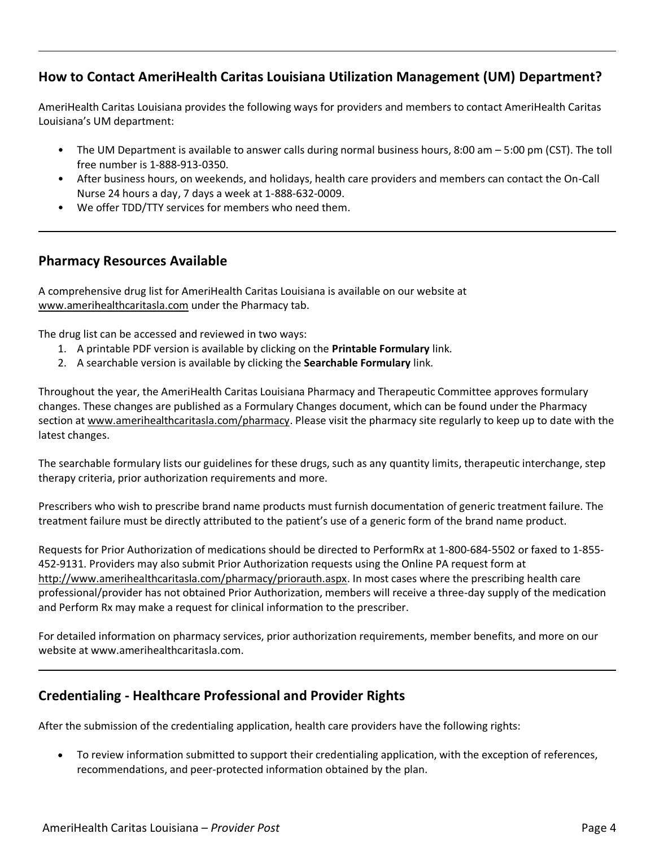# **How to Contact AmeriHealth Caritas Louisiana Utilization Management (UM) Department?**

AmeriHealth Caritas Louisiana provides the following ways for providers and members to contact AmeriHealth Caritas Louisiana's UM department:

- The UM Department is available to answer calls during normal business hours, 8:00 am 5:00 pm (CST). The toll free number is 1-888-913-0350.
- After business hours, on weekends, and holidays, health care providers and members can contact the On-Call Nurse 24 hours a day, 7 days a week at 1-888-632-0009.
- We offer TDD/TTY services for members who need them.

## **Pharmacy Resources Available**

A comprehensive drug list for AmeriHealth Caritas Louisiana is available on our website at [www.amerihealthcaritasla.com](http://www.amerihealthcaritasla.com/) under the Pharmacy tab.

The drug list can be accessed and reviewed in two ways:

- 1. A printable PDF version is available by clicking on the **Printable Formulary** link.
- 2. A searchable version is available by clicking the **Searchable Formulary** link.

Throughout the year, the AmeriHealth Caritas Louisiana Pharmacy and Therapeutic Committee approves formulary changes. These changes are published as a Formulary Changes document, which can be found under the Pharmacy section at [www.amerihealthcaritasla.com/pharmacy.](http://www.amerihealthcaritasla.com/pharmacy) Please visit the pharmacy site regularly to keep up to date with the latest changes.

The searchable formulary lists our guidelines for these drugs, such as any quantity limits, therapeutic interchange, step therapy criteria, prior authorization requirements and more.

Prescribers who wish to prescribe brand name products must furnish documentation of generic treatment failure. The treatment failure must be directly attributed to the patient's use of a generic form of the brand name product.

Requests for Prior Authorization of medications should be directed to PerformRx at 1-800-684-5502 or faxed to 1-855- 452-9131. Providers may also submit Prior Authorization requests using the Online PA request form at [http://www.amerihealthcaritasla.com/pharmacy/priorauth.aspx.](http://www.amerihealthcaritasla.com/pharmacy/priorauth.aspx) In most cases where the prescribing health care professional/provider has not obtained Prior Authorization, members will receive a three-day supply of the medication and Perform Rx may make a request for clinical information to the prescriber.

For detailed information on pharmacy services, prior authorization requirements, member benefits, and more on our website at www.amerihealthcaritasla.com.

# **Credentialing - Healthcare Professional and Provider Rights**

After the submission of the credentialing application, health care providers have the following rights:

 To review information submitted to support their credentialing application, with the exception of references, recommendations, and peer-protected information obtained by the plan.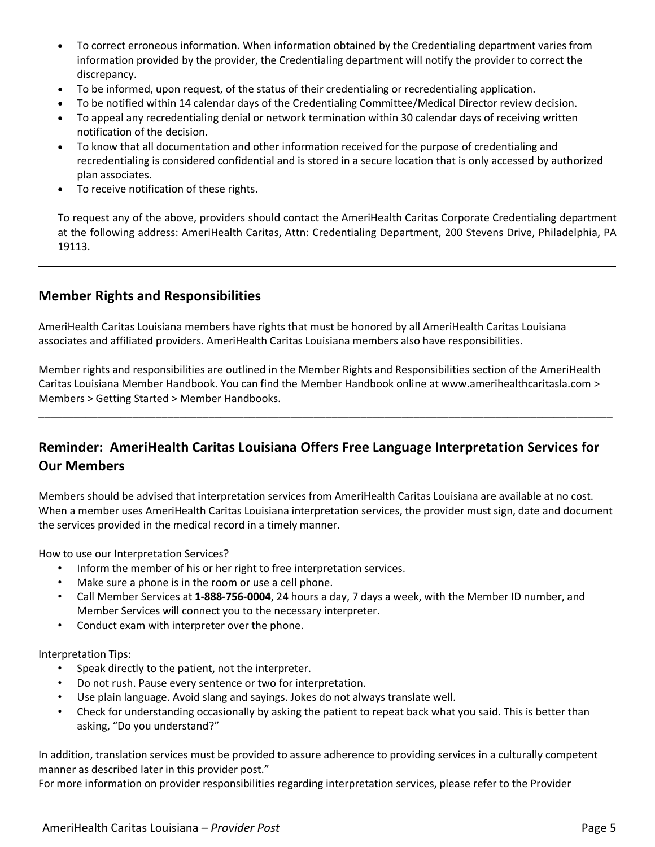- To correct erroneous information. When information obtained by the Credentialing department varies from information provided by the provider, the Credentialing department will notify the provider to correct the discrepancy.
- To be informed, upon request, of the status of their credentialing or recredentialing application.
- To be notified within 14 calendar days of the Credentialing Committee/Medical Director review decision.
- To appeal any recredentialing denial or network termination within 30 calendar days of receiving written notification of the decision.
- To know that all documentation and other information received for the purpose of credentialing and recredentialing is considered confidential and is stored in a secure location that is only accessed by authorized plan associates.
- To receive notification of these rights.

To request any of the above, providers should contact the AmeriHealth Caritas Corporate Credentialing department at the following address: AmeriHealth Caritas, Attn: Credentialing Department, 200 Stevens Drive, Philadelphia, PA 19113.

## **Member Rights and Responsibilities**

AmeriHealth Caritas Louisiana members have rights that must be honored by all AmeriHealth Caritas Louisiana associates and affiliated providers. AmeriHealth Caritas Louisiana members also have responsibilities.

Member rights and responsibilities are outlined in the Member Rights and Responsibilities section of the AmeriHealth Caritas Louisiana Member Handbook. You can find the Member Handbook online at www.amerihealthcaritasla.com > Members > Getting Started > Member Handbooks.

\_\_\_\_\_\_\_\_\_\_\_\_\_\_\_\_\_\_\_\_\_\_\_\_\_\_\_\_\_\_\_\_\_\_\_\_\_\_\_\_\_\_\_\_\_\_\_\_\_\_\_\_\_\_\_\_\_\_\_\_\_\_\_\_\_\_\_\_\_\_\_\_\_\_\_\_\_\_\_\_\_\_\_\_\_\_\_\_\_\_\_\_\_\_\_\_\_\_

# **Reminder: AmeriHealth Caritas Louisiana Offers Free Language Interpretation Services for Our Members**

Members should be advised that interpretation services from AmeriHealth Caritas Louisiana are available at no cost. When a member uses AmeriHealth Caritas Louisiana interpretation services, the provider must sign, date and document the services provided in the medical record in a timely manner.

How to use our Interpretation Services?

- Inform the member of his or her right to free interpretation services.
- Make sure a phone is in the room or use a cell phone.
- Call Member Services at **1-888-756-0004**, 24 hours a day, 7 days a week, with the Member ID number, and Member Services will connect you to the necessary interpreter.
- Conduct exam with interpreter over the phone.

#### Interpretation Tips:

- Speak directly to the patient, not the interpreter.
- Do not rush. Pause every sentence or two for interpretation.
- Use plain language. Avoid slang and sayings. Jokes do not always translate well.
- Check for understanding occasionally by asking the patient to repeat back what you said. This is better than asking, "Do you understand?"

In addition, translation services must be provided to assure adherence to providing services in a culturally competent manner as described later in this provider post."

For more information on provider responsibilities regarding interpretation services, please refer to the Provider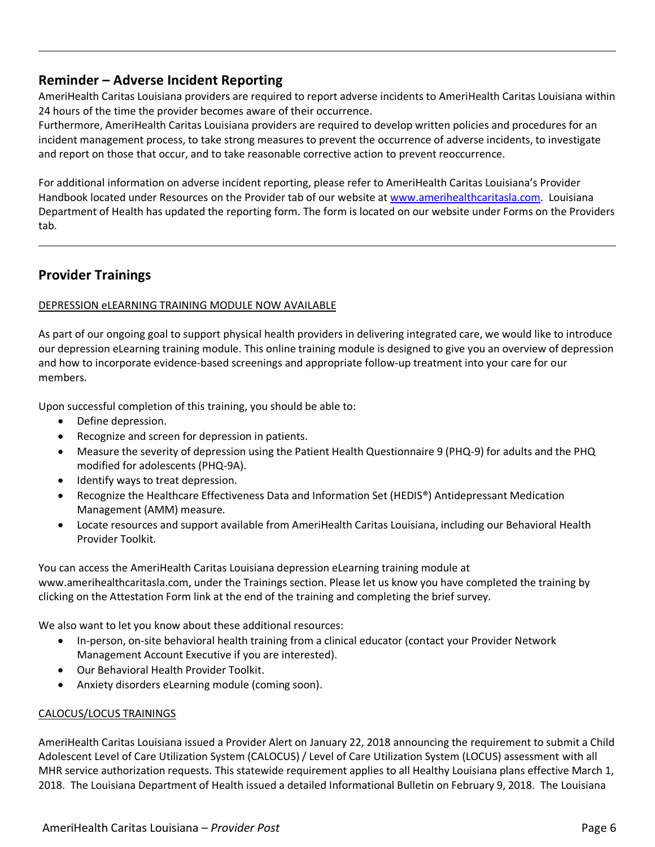## **Reminder – Adverse Incident Reporting**

AmeriHealth Caritas Louisiana providers are required to report adverse incidents to AmeriHealth Caritas Louisiana within 24 hours of the time the provider becomes aware of their occurrence.

Furthermore, AmeriHealth Caritas Louisiana providers are required to develop written policies and procedures for an incident management process, to take strong measures to prevent the occurrence of adverse incidents, to investigate and report on those that occur, and to take reasonable corrective action to prevent reoccurrence.

For additional information on adverse incident reporting, please refer to AmeriHealth Caritas Louisiana's Provider Handbook located under Resources on the Provider tab of our website at [www.amerihealthcaritasla.com.](http://www.amerihealthcaritasla.com/) Louisiana Department of Health has updated the reporting form. The form is located on our website under Forms on the Providers tab.

## **Provider Trainings**

#### DEPRESSION eLEARNING TRAINING MODULE NOW AVAILABLE

As part of our ongoing goal to support physical health providers in delivering integrated care, we would like to introduce our depression eLearning training module. This online training module is designed to give you an overview of depression and how to incorporate evidence-based screenings and appropriate follow-up treatment into your care for our members.

Upon successful completion of this training, you should be able to:

- Define depression.
- Recognize and screen for depression in patients.
- Measure the severity of depression using the Patient Health Questionnaire 9 (PHQ-9) for adults and the PHQ modified for adolescents (PHQ-9A).
- Identify ways to treat depression.
- Recognize the Healthcare Effectiveness Data and Information Set (HEDIS®) Antidepressant Medication Management (AMM) measure.
- Locate resources and support available from AmeriHealth Caritas Louisiana, including our Behavioral Health Provider Toolkit.

You can access the AmeriHealth Caritas Louisiana depression eLearning training module at www.amerihealthcaritasla.com, under the Trainings section. Please let us know you have completed the training by clicking on the Attestation Form link at the end of the training and completing the brief survey.

We also want to let you know about these additional resources:

- In-person, on-site behavioral health training from a clinical educator (contact your Provider Network Management Account Executive if you are interested).
- Our Behavioral Health Provider Toolkit.
- Anxiety disorders eLearning module (coming soon).

#### CALOCUS/LOCUS TRAININGS

AmeriHealth Caritas Louisiana issued a Provider Alert on January 22, 2018 announcing the requirement to submit a Child Adolescent Level of Care Utilization System (CALOCUS) / Level of Care Utilization System (LOCUS) assessment with all MHR service authorization requests. This statewide requirement applies to all Healthy Louisiana plans effective March 1, 2018. The Louisiana Department of Health issued a detailed Informational Bulletin on February 9, 2018. The Louisiana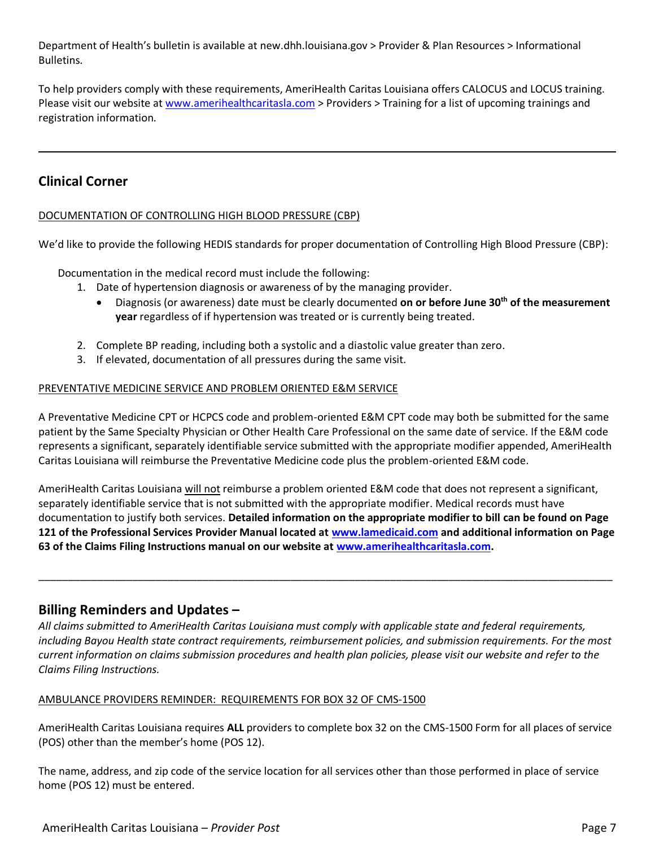Department of Health's bulletin is available at new.dhh.louisiana.gov > Provider & Plan Resources > Informational Bulletins.

To help providers comply with these requirements, AmeriHealth Caritas Louisiana offers CALOCUS and LOCUS training. Please visit our website a[t www.amerihealthcaritasla.com](http://www.amerihealthcaritasla.com/) > Providers > Training for a list of upcoming trainings and registration information.

## **Clinical Corner**

#### DOCUMENTATION OF CONTROLLING HIGH BLOOD PRESSURE (CBP)

We'd like to provide the following HEDIS standards for proper documentation of Controlling High Blood Pressure (CBP):

Documentation in the medical record must include the following:

- 1. Date of hypertension diagnosis or awareness of by the managing provider.
	- Diagnosis (or awareness) date must be clearly documented **on or before June 30th of the measurement year** regardless of if hypertension was treated or is currently being treated.
- 2. Complete BP reading, including both a systolic and a diastolic value greater than zero.
- 3. If elevated, documentation of all pressures during the same visit.

#### PREVENTATIVE MEDICINE SERVICE AND PROBLEM ORIENTED E&M SERVICE

A Preventative Medicine CPT or HCPCS code and problem-oriented E&M CPT code may both be submitted for the same patient by the Same Specialty Physician or Other Health Care Professional on the same date of service. If the E&M code represents a significant, separately identifiable service submitted with the appropriate modifier appended, AmeriHealth Caritas Louisiana will reimburse the Preventative Medicine code plus the problem-oriented E&M code.

AmeriHealth Caritas Louisiana will not reimburse a problem oriented E&M code that does not represent a significant, separately identifiable service that is not submitted with the appropriate modifier. Medical records must have documentation to justify both services. **Detailed information on the appropriate modifier to bill can be found on Page 121 of the Professional Services Provider Manual located at [www.lamedicaid.com](http://www.lamedicaid.com/) and additional information on Page 63 of the Claims Filing Instructions manual on our website at [www.amerihealthcaritasla.com.](http://www.amerihealthcaritasla.com/)** 

\_\_\_\_\_\_\_\_\_\_\_\_\_\_\_\_\_\_\_\_\_\_\_\_\_\_\_\_\_\_\_\_\_\_\_\_\_\_\_\_\_\_\_\_\_\_\_\_\_\_\_\_\_\_\_\_\_\_\_\_\_\_\_\_\_\_\_\_\_\_\_\_\_\_\_\_\_\_\_\_\_\_\_\_\_\_\_\_\_\_\_\_\_\_\_\_\_\_

## **Billing Reminders and Updates –**

*All claims submitted to AmeriHealth Caritas Louisiana must comply with applicable state and federal requirements, including Bayou Health state contract requirements, reimbursement policies, and submission requirements. For the most current information on claims submission procedures and health plan policies, please visit our website and refer to the Claims Filing Instructions.*

#### AMBULANCE PROVIDERS REMINDER: REQUIREMENTS FOR BOX 32 OF CMS-1500

AmeriHealth Caritas Louisiana requires **ALL** providers to complete box 32 on the CMS-1500 Form for all places of service (POS) other than the member's home (POS 12).

The name, address, and zip code of the service location for all services other than those performed in place of service home (POS 12) must be entered.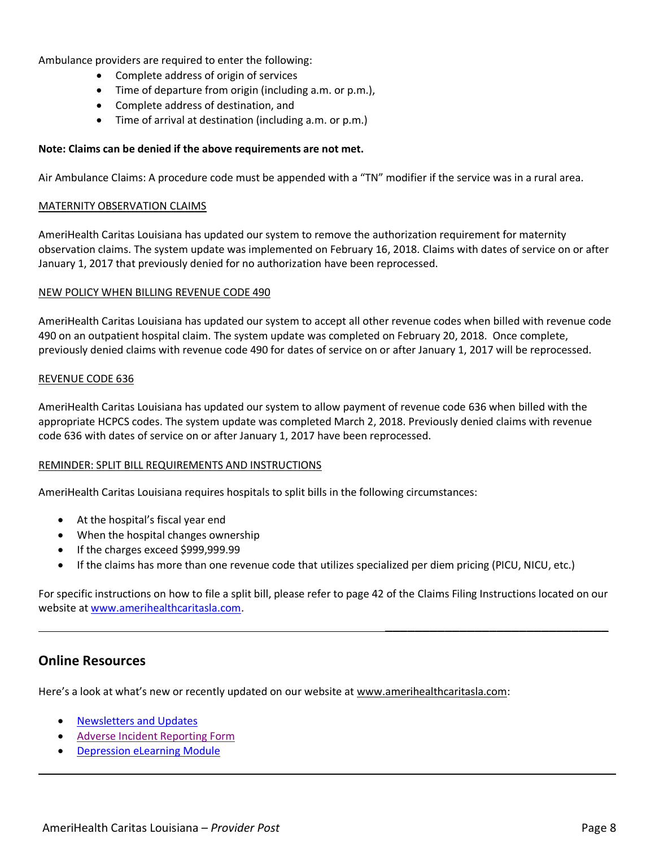Ambulance providers are required to enter the following:

- Complete address of origin of services
- Time of departure from origin (including a.m. or p.m.),
- Complete address of destination, and
- Time of arrival at destination (including a.m. or p.m.)

#### **Note: Claims can be denied if the above requirements are not met.**

Air Ambulance Claims: A procedure code must be appended with a "TN" modifier if the service was in a rural area.

#### MATERNITY OBSERVATION CLAIMS

AmeriHealth Caritas Louisiana has updated our system to remove the authorization requirement for maternity observation claims. The system update was implemented on February 16, 2018. Claims with dates of service on or after January 1, 2017 that previously denied for no authorization have been reprocessed.

#### NEW POLICY WHEN BILLING REVENUE CODE 490

AmeriHealth Caritas Louisiana has updated our system to accept all other revenue codes when billed with revenue code 490 on an outpatient hospital claim. The system update was completed on February 20, 2018. Once complete, previously denied claims with revenue code 490 for dates of service on or after January 1, 2017 will be reprocessed.

#### REVENUE CODE 636

AmeriHealth Caritas Louisiana has updated our system to allow payment of revenue code 636 when billed with the appropriate HCPCS codes. The system update was completed March 2, 2018. Previously denied claims with revenue code 636 with dates of service on or after January 1, 2017 have been reprocessed.

#### REMINDER: SPLIT BILL REQUIREMENTS AND INSTRUCTIONS

AmeriHealth Caritas Louisiana requires hospitals to split bills in the following circumstances:

- At the hospital's fiscal year end
- When the hospital changes ownership
- If the charges exceed \$999,999.99
- If the claims has more than one revenue code that utilizes specialized per diem pricing (PICU, NICU, etc.)

For specific instructions on how to file a split bill, please refer to page 42 of the Claims Filing Instructions located on our website at [www.amerihealthcaritasla.com.](http://www.amerihealthcaritasla.com/)

## **Online Resources**

Here's a look at what's new or recently updated on our website at [www.amerihealthcaritasla.com:](http://www.amerihealthcaritasla.com/)

- [Newsletters and Updates](http://www.amerihealthcaritasla.com/provider/newsletters-and-updates/index.aspx)
- [Adverse Incident Reporting Form](http://www.amerihealthcaritasla.com/provider/resources/forms/index.aspx)
- [Depression eLearning Module](https://amerihealthcaritas.adobeconnect.com/_a1050101005/depressionacla/)

 $\overline{\phantom{a}}$  , where  $\overline{\phantom{a}}$  , where  $\overline{\phantom{a}}$  , where  $\overline{\phantom{a}}$  ,  $\overline{\phantom{a}}$  ,  $\overline{\phantom{a}}$  ,  $\overline{\phantom{a}}$  ,  $\overline{\phantom{a}}$  ,  $\overline{\phantom{a}}$  ,  $\overline{\phantom{a}}$  ,  $\overline{\phantom{a}}$  ,  $\overline{\phantom{a}}$  ,  $\overline{\phantom{a}}$  ,  $\overline{\phantom{a}}$  ,  $\overline{\phantom$